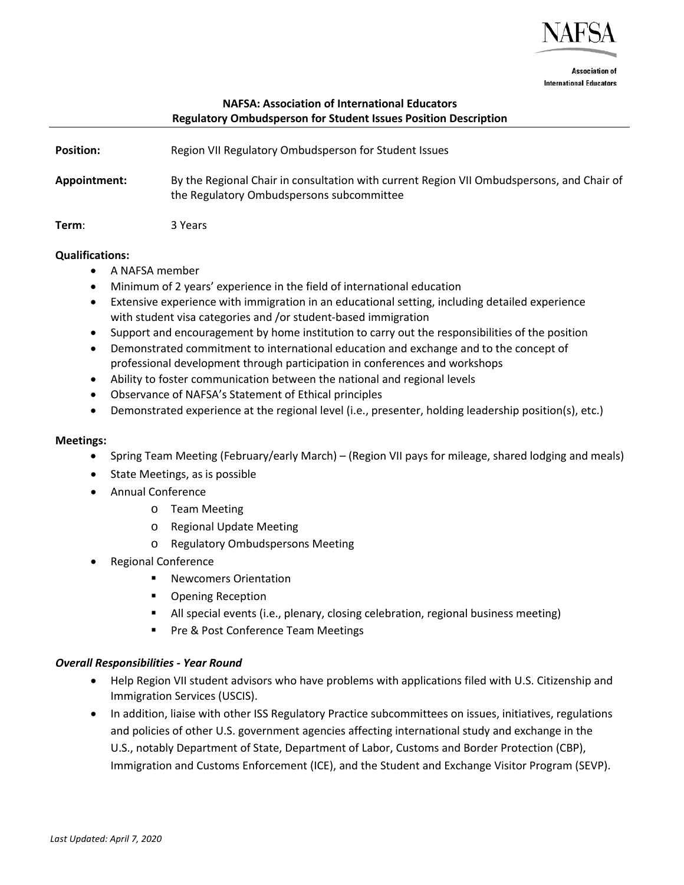

**Association of International Educators** 

# **NAFSA: Association of International Educators Regulatory Ombudsperson for Student Issues Position Description**

| <b>Position:</b> | Region VII Regulatory Ombudsperson for Student Issues                                                                                  |
|------------------|----------------------------------------------------------------------------------------------------------------------------------------|
| Appointment:     | By the Regional Chair in consultation with current Region VII Ombudspersons, and Chair of<br>the Regulatory Ombudspersons subcommittee |
| Term:            | 3 Years                                                                                                                                |

### **Qualifications:**

- A NAFSA member
- Minimum of 2 years' experience in the field of international education
- Extensive experience with immigration in an educational setting, including detailed experience with student visa categories and /or student-based immigration
- Support and encouragement by home institution to carry out the responsibilities of the position
- Demonstrated commitment to international education and exchange and to the concept of professional development through participation in conferences and workshops
- Ability to foster communication between the national and regional levels
- Observance of NAFSA's Statement of Ethical principles
- Demonstrated experience at the regional level (i.e., presenter, holding leadership position(s), etc.)

### **Meetings:**

- Spring Team Meeting (February/early March) (Region VII pays for mileage, shared lodging and meals)
- State Meetings, as is possible
- Annual Conference
	- o Team Meeting
	- o Regional Update Meeting
	- o Regulatory Ombudspersons Meeting
- Regional Conference
	- Newcomers Orientation
	- Opening Reception
	- All special events (i.e., plenary, closing celebration, regional business meeting)
	- **Pre & Post Conference Team Meetings**

# *Overall Responsibilities - Year Round*

- Help Region VII student advisors who have problems with applications filed with U.S. Citizenship and Immigration Services (USCIS).
- In addition, liaise with other ISS Regulatory Practice subcommittees on issues, initiatives, regulations and policies of other U.S. government agencies affecting international study and exchange in the U.S., notably Department of State, Department of Labor, Customs and Border Protection (CBP), Immigration and Customs Enforcement (ICE), and the Student and Exchange Visitor Program (SEVP).